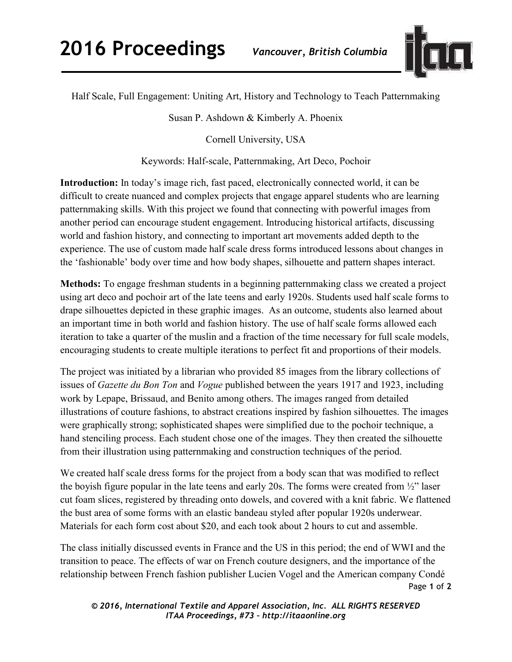

Half Scale, Full Engagement: Uniting Art, History and Technology to Teach Patternmaking

Susan P. Ashdown & Kimberly A. Phoenix

Cornell University, USA

Keywords: Half-scale, Patternmaking, Art Deco, Pochoir

**Introduction:** In today's image rich, fast paced, electronically connected world, it can be difficult to create nuanced and complex projects that engage apparel students who are learning patternmaking skills. With this project we found that connecting with powerful images from another period can encourage student engagement. Introducing historical artifacts, discussing world and fashion history, and connecting to important art movements added depth to the experience. The use of custom made half scale dress forms introduced lessons about changes in the 'fashionable' body over time and how body shapes, silhouette and pattern shapes interact.

**Methods:** To engage freshman students in a beginning patternmaking class we created a project using art deco and pochoir art of the late teens and early 1920s. Students used half scale forms to drape silhouettes depicted in these graphic images. As an outcome, students also learned about an important time in both world and fashion history. The use of half scale forms allowed each iteration to take a quarter of the muslin and a fraction of the time necessary for full scale models, encouraging students to create multiple iterations to perfect fit and proportions of their models.

The project was initiated by a librarian who provided 85 images from the library collections of issues of *Gazette du Bon Ton* and *Vogue* published between the years 1917 and 1923, including work by Lepape, Brissaud, and Benito among others. The images ranged from detailed illustrations of couture fashions, to abstract creations inspired by fashion silhouettes. The images were graphically strong; sophisticated shapes were simplified due to the pochoir technique, a hand stenciling process. Each student chose one of the images. They then created the silhouette from their illustration using patternmaking and construction techniques of the period.

We created half scale dress forms for the project from a body scan that was modified to reflect the boyish figure popular in the late teens and early 20s. The forms were created from ½" laser cut foam slices, registered by threading onto dowels, and covered with a knit fabric. We flattened the bust area of some forms with an elastic bandeau styled after popular 1920s underwear. Materials for each form cost about \$20, and each took about 2 hours to cut and assemble.

Page **1** of **2**  The class initially discussed events in France and the US in this period; the end of WWI and the transition to peace. The effects of war on French couture designers, and the importance of the relationship between French fashion publisher Lucien Vogel and the American company Condé

*© 2016, International Textile and Apparel Association, Inc. ALL RIGHTS RESERVED ITAA Proceedings, #73 – http://itaaonline.org*